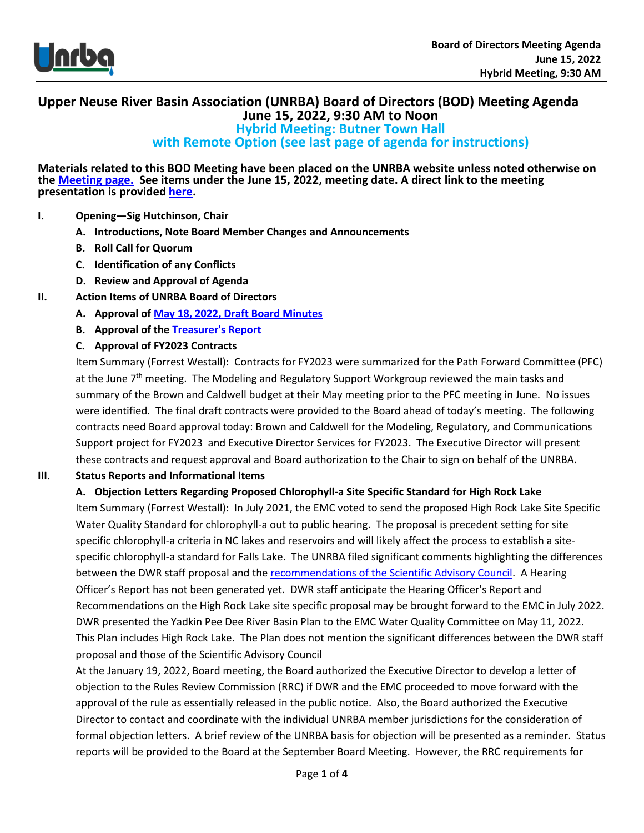

## **Upper Neuse River Basin Association (UNRBA) Board of Directors (BOD) Meeting Agenda June 15, 2022, 9:30 AM to Noon**

**Hybrid Meeting: Butner Town Hall** 

**with Remote Option (see last page of agenda for instructions)**

**Materials related to this BOD Meeting have been placed on the UNRBA website unless noted otherwise on the [Meeting page.](https://www.unrba.org/meetings) See items under the June 15, 2022, meeting date. A direct link to the meeting presentation is provided [here.](https://www.unrba.org/sites/default/files/UNRBA%20BOD%20Meeting%202022%2006%2015%20v2.pdf)** 

#### **I. Opening—Sig Hutchinson, Chair**

- **A. Introductions, Note Board Member Changes and Announcements**
- **B. Roll Call for Quorum**
- **C. Identification of any Conflicts**
- **D. Review and Approval of Agenda**
- **II. Action Items of UNRBA Board of Directors**
	- **A. Approval of May 18, 2022, [Draft Board Minutes](https://www.unrba.org/sites/default/files/Draft%20Minutes%20for%20May%2018%202022%206072022.pdf)**
	- **B. Approval of th[e Treasurer's Report](https://www.unrba.org/sites/default/files/Treasurer%20Reporrt%20for%20June%2015%202022%20Board%20Meeting.pdf)**
	- **C. Approval of FY2023 Contracts**

Item Summary (Forrest Westall): Contracts for FY2023 were summarized for the Path Forward Committee (PFC) at the June 7<sup>th</sup> meeting. The Modeling and Regulatory Support Workgroup reviewed the main tasks and summary of the Brown and Caldwell budget at their May meeting prior to the PFC meeting in June. No issues were identified. The final draft contracts were provided to the Board ahead of today's meeting. The following contracts need Board approval today: Brown and Caldwell for the Modeling, Regulatory, and Communications Support project for FY2023 and Executive Director Services for FY2023. The Executive Director will present these contracts and request approval and Board authorization to the Chair to sign on behalf of the UNRBA.

### **III. Status Reports and Informational Items**

#### **A. Objection Letters Regarding Proposed Chlorophyll-a Site Specific Standard for High Rock Lake**

Item Summary (Forrest Westall): In July 2021, the EMC voted to send the proposed High Rock Lake Site Specific Water Quality Standard for chlorophyll-a out to public hearing. The proposal is precedent setting for site specific chlorophyll-a criteria in NC lakes and reservoirs and will likely affect the process to establish a sitespecific chlorophyll-a standard for Falls Lake. The UNRBA filed significant comments highlighting the differences between the DWR staff proposal and the [recommendations of the Scientific Advisory Council.](https://files.nc.gov/ncdeq/Water%20Quality/Environmental%20Sciences/ECO/NutrientCriteria/ChlaCriteriaDoc-May26-2020--SAC-final-.pdf) A Hearing Officer's Report has not been generated yet. DWR staff anticipate the Hearing Officer's Report and Recommendations on the High Rock Lake site specific proposal may be brought forward to the EMC in July 2022. DWR presented the Yadkin Pee Dee River Basin Plan to the EMC Water Quality Committee on May 11, 2022. This Plan includes High Rock Lake. The Plan does not mention the significant differences between the DWR staff proposal and those of the Scientific Advisory Council

At the January 19, 2022, Board meeting, the Board authorized the Executive Director to develop a letter of objection to the Rules Review Commission (RRC) if DWR and the EMC proceeded to move forward with the approval of the rule as essentially released in the public notice. Also, the Board authorized the Executive Director to contact and coordinate with the individual UNRBA member jurisdictions for the consideration of formal objection letters. A brief review of the UNRBA basis for objection will be presented as a reminder. Status reports will be provided to the Board at the September Board Meeting. However, the RRC requirements for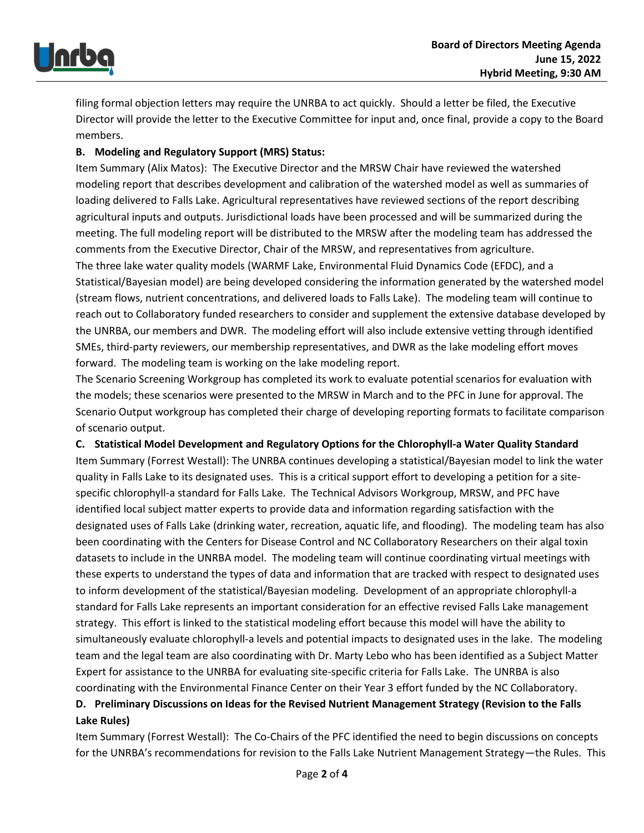

filing formal objection letters may require the UNRBA to act quickly. Should a letter be filed, the Executive Director will provide the letter to the Executive Committee for input and, once final, provide a copy to the Board members.

### **B. Modeling and Regulatory Support (MRS) Status:**

Item Summary (Alix Matos): The Executive Director and the MRSW Chair have reviewed the watershed modeling report that describes development and calibration of the watershed model as well as summaries of loading delivered to Falls Lake. Agricultural representatives have reviewed sections of the report describing agricultural inputs and outputs. Jurisdictional loads have been processed and will be summarized during the meeting. The full modeling report will be distributed to the MRSW after the modeling team has addressed the comments from the Executive Director, Chair of the MRSW, and representatives from agriculture. The three lake water quality models (WARMF Lake, Environmental Fluid Dynamics Code (EFDC), and a Statistical/Bayesian model) are being developed considering the information generated by the watershed model (stream flows, nutrient concentrations, and delivered loads to Falls Lake). The modeling team will continue to reach out to Collaboratory funded researchers to consider and supplement the extensive database developed by the UNRBA, our members and DWR. The modeling effort will also include extensive vetting through identified SMEs, third-party reviewers, our membership representatives, and DWR as the lake modeling effort moves forward. The modeling team is working on the lake modeling report.

The Scenario Screening Workgroup has completed its work to evaluate potential scenarios for evaluation with the models; these scenarios were presented to the MRSW in March and to the PFC in June for approval. The Scenario Output workgroup has completed their charge of developing reporting formats to facilitate comparison of scenario output.

**C. Statistical Model Development and Regulatory Options for the Chlorophyll-a Water Quality Standard** 

Item Summary (Forrest Westall): The UNRBA continues developing a statistical/Bayesian model to link the water quality in Falls Lake to its designated uses. This is a critical support effort to developing a petition for a sitespecific chlorophyll-a standard for Falls Lake. The Technical Advisors Workgroup, MRSW, and PFC have identified local subject matter experts to provide data and information regarding satisfaction with the designated uses of Falls Lake (drinking water, recreation, aquatic life, and flooding). The modeling team has also been coordinating with the Centers for Disease Control and NC Collaboratory Researchers on their algal toxin datasets to include in the UNRBA model. The modeling team will continue coordinating virtual meetings with these experts to understand the types of data and information that are tracked with respect to designated uses to inform development of the statistical/Bayesian modeling. Development of an appropriate chlorophyll-a standard for Falls Lake represents an important consideration for an effective revised Falls Lake management strategy. This effort is linked to the statistical modeling effort because this model will have the ability to simultaneously evaluate chlorophyll-a levels and potential impacts to designated uses in the lake. The modeling team and the legal team are also coordinating with Dr. Marty Lebo who has been identified as a Subject Matter Expert for assistance to the UNRBA for evaluating site-specific criteria for Falls Lake. The UNRBA is also coordinating with the Environmental Finance Center on their Year 3 effort funded by the NC Collaboratory.

# **D. Preliminary Discussions on Ideas for the Revised Nutrient Management Strategy (Revision to the Falls Lake Rules)**

Item Summary (Forrest Westall): The Co-Chairs of the PFC identified the need to begin discussions on concepts for the UNRBA's recommendations for revision to the Falls Lake Nutrient Management Strategy—the Rules. This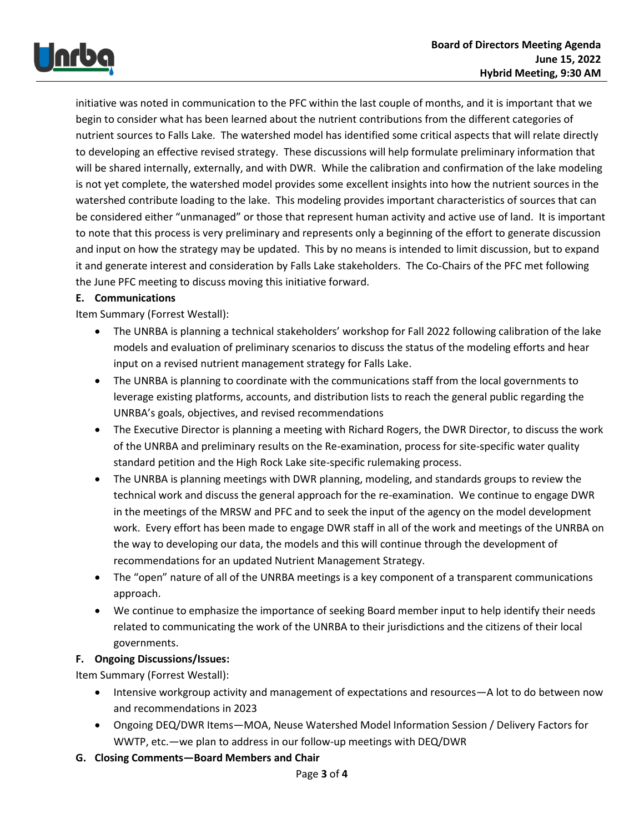

initiative was noted in communication to the PFC within the last couple of months, and it is important that we begin to consider what has been learned about the nutrient contributions from the different categories of nutrient sources to Falls Lake. The watershed model has identified some critical aspects that will relate directly to developing an effective revised strategy. These discussions will help formulate preliminary information that will be shared internally, externally, and with DWR. While the calibration and confirmation of the lake modeling is not yet complete, the watershed model provides some excellent insights into how the nutrient sources in the watershed contribute loading to the lake. This modeling provides important characteristics of sources that can be considered either "unmanaged" or those that represent human activity and active use of land. It is important to note that this process is very preliminary and represents only a beginning of the effort to generate discussion and input on how the strategy may be updated. This by no means is intended to limit discussion, but to expand it and generate interest and consideration by Falls Lake stakeholders. The Co-Chairs of the PFC met following the June PFC meeting to discuss moving this initiative forward.

### **E. Communications**

Item Summary (Forrest Westall):

- The UNRBA is planning a technical stakeholders' workshop for Fall 2022 following calibration of the lake models and evaluation of preliminary scenarios to discuss the status of the modeling efforts and hear input on a revised nutrient management strategy for Falls Lake.
- The UNRBA is planning to coordinate with the communications staff from the local governments to leverage existing platforms, accounts, and distribution lists to reach the general public regarding the UNRBA's goals, objectives, and revised recommendations
- The Executive Director is planning a meeting with Richard Rogers, the DWR Director, to discuss the work of the UNRBA and preliminary results on the Re-examination, process for site-specific water quality standard petition and the High Rock Lake site-specific rulemaking process.
- The UNRBA is planning meetings with DWR planning, modeling, and standards groups to review the technical work and discuss the general approach for the re-examination. We continue to engage DWR in the meetings of the MRSW and PFC and to seek the input of the agency on the model development work. Every effort has been made to engage DWR staff in all of the work and meetings of the UNRBA on the way to developing our data, the models and this will continue through the development of recommendations for an updated Nutrient Management Strategy.
- The "open" nature of all of the UNRBA meetings is a key component of a transparent communications approach.
- We continue to emphasize the importance of seeking Board member input to help identify their needs related to communicating the work of the UNRBA to their jurisdictions and the citizens of their local governments.

### **F. Ongoing Discussions/Issues:**

Item Summary (Forrest Westall):

- Intensive workgroup activity and management of expectations and resources—A lot to do between now and recommendations in 2023
- Ongoing DEQ/DWR Items—MOA, Neuse Watershed Model Information Session / Delivery Factors for WWTP, etc.—we plan to address in our follow-up meetings with DEQ/DWR
- **G. Closing Comments—Board Members and Chair**